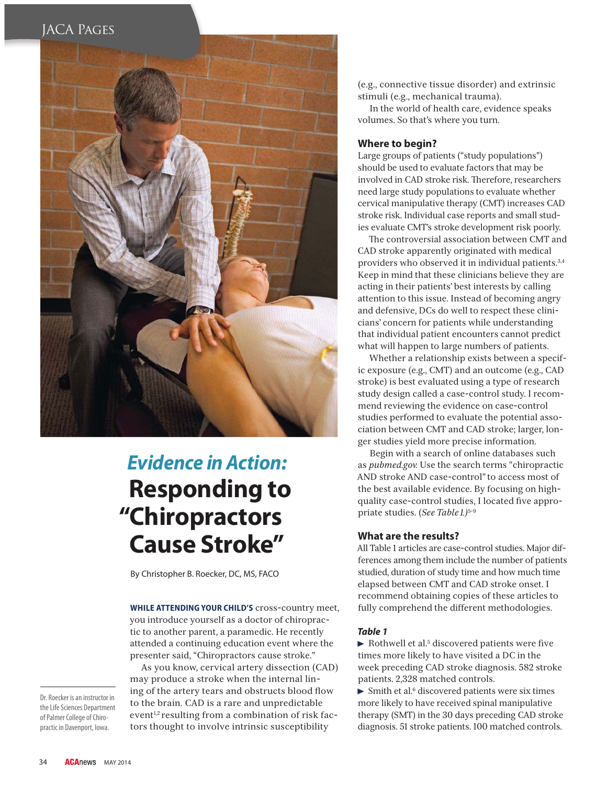

# *Evidence in Action:* **Responding to " Chiropractors Cause Stroke"**

By Christopher B. Roecker, DC, MS, FACO

**WHILE ATTENDING YOUR CHILD'S** cross-country meet, you introduce yourself as a doctor of chiropractic to another parent, a paramedic. He recently attended a continuing education event where the presenter said, "Chiropractors cause stroke."

As you know, cervical artery dissection (CAD) may produce a stroke when the internal lining of the artery tears and obstructs blood flow to the brain. CAD is a rare and unpredictable event<sup>1,2</sup> resulting from a combination of risk factors thought to involve intrinsic susceptibility

(e.g., connective tissue disorder) and extrinsic stimuli (e.g., mechanical trauma).

In the world of health care, evidence speaks volumes. So that's where you turn.

## **Where to begin?**

Large groups of patients ("study populations") should be used to evaluate factors that may be involved in CAD stroke risk. Therefore, researchers need large study populations to evaluate whether cervical manipulative therapy (CMT) increases CAD stroke risk. Individual case reports and small studies evaluate CMT's stroke development risk poorly.

The controversial association between CMT and CAD stroke apparently originated with medical providers who observed it in individual patients.3,4 Keep in mind that these clinicians believe they are acting in their patients' best interests by calling attention to this issue. Instead of becoming angry and defensive, DCs do well to respect these clinicians' concern for patients while understanding that individual patient encounters cannot predict what will happen to large numbers of patients.

Whether a relationship exists between a specific exposure (e.g., CMT) and an outcome (e.g., CAD stroke) is best evaluated using a type of research study design called a case-control study. I recommend reviewing the evidence on case-control studies performed to evaluate the potential association between CMT and CAD stroke; larger, longer studies yield more precise information.

Begin with a search of online databases such as *pubmed.gov.* Use the search terms "chiropractic AND stroke AND case-control" to access most of the best available evidence. By focusing on highquality case-control studies, I located five appropriate studies. (*See Table 1.)*5-9

# **What are the results?**

All Table 1 articles are case-control studies. Major differences among them include the number of patients studied, duration of study time and how much time elapsed between CMT and CAD stroke onset. I recommend obtaining copies of these articles to fully comprehend the different methodologies.

### *Table 1*

Rothwell et al.<sup>5</sup> discovered patients were five times more likely to have visited a DC in the week preceding CAD stroke diagnosis. 582 stroke patients. 2,328 matched controls.

 $\blacktriangleright$  Smith et al.<sup>6</sup> discovered patients were six times more likely to have received spinal manipulative therapy (SMT) in the 30 days preceding CAD stroke diagnosis. 51 stroke patients. 100 matched controls.

Dr. Roecker is an instructor in of Palmer College of Chiropractic in Davenport, Iowa. practic in Davenport, Iowa.